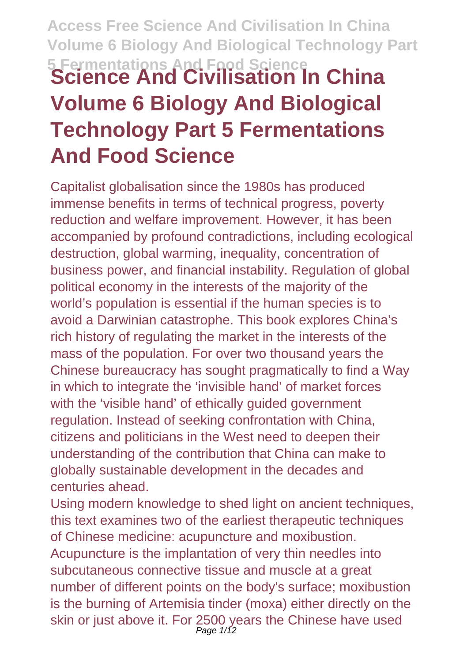# **Access Free Science And Civilisation In China Volume 6 Biology And Biological Technology Part 5 Fermentations And Food Science Science And Civilisation In China Volume 6 Biology And Biological Technology Part 5 Fermentations And Food Science**

Capitalist globalisation since the 1980s has produced immense benefits in terms of technical progress, poverty reduction and welfare improvement. However, it has been accompanied by profound contradictions, including ecological destruction, global warming, inequality, concentration of business power, and financial instability. Regulation of global political economy in the interests of the majority of the world's population is essential if the human species is to avoid a Darwinian catastrophe. This book explores China's rich history of regulating the market in the interests of the mass of the population. For over two thousand years the Chinese bureaucracy has sought pragmatically to find a Way in which to integrate the 'invisible hand' of market forces with the 'visible hand' of ethically guided government regulation. Instead of seeking confrontation with China, citizens and politicians in the West need to deepen their understanding of the contribution that China can make to globally sustainable development in the decades and centuries ahead.

Using modern knowledge to shed light on ancient techniques, this text examines two of the earliest therapeutic techniques of Chinese medicine: acupuncture and moxibustion. Acupuncture is the implantation of very thin needles into subcutaneous connective tissue and muscle at a great number of different points on the body's surface; moxibustion is the burning of Artemisia tinder (moxa) either directly on the skin or just above it. For 2500 years the Chinese have used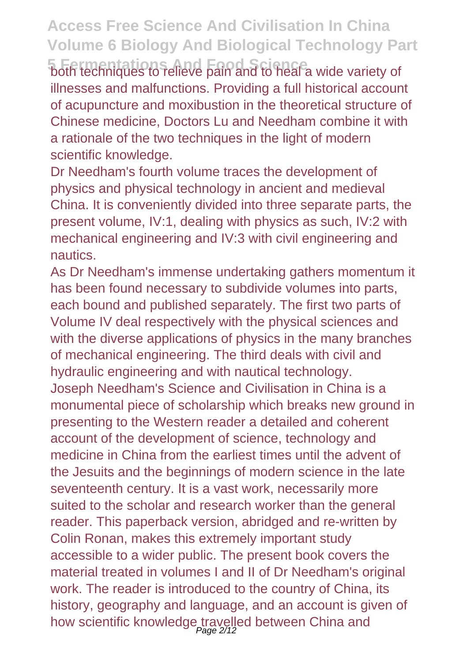**5 Fermentations And Food Science** both techniques to relieve pain and to heal a wide variety of illnesses and malfunctions. Providing a full historical account of acupuncture and moxibustion in the theoretical structure of Chinese medicine, Doctors Lu and Needham combine it with a rationale of the two techniques in the light of modern scientific knowledge.

Dr Needham's fourth volume traces the development of physics and physical technology in ancient and medieval China. It is conveniently divided into three separate parts, the present volume, IV:1, dealing with physics as such, IV:2 with mechanical engineering and IV:3 with civil engineering and nautics.

As Dr Needham's immense undertaking gathers momentum it has been found necessary to subdivide volumes into parts, each bound and published separately. The first two parts of Volume IV deal respectively with the physical sciences and with the diverse applications of physics in the many branches of mechanical engineering. The third deals with civil and hydraulic engineering and with nautical technology. Joseph Needham's Science and Civilisation in China is a monumental piece of scholarship which breaks new ground in presenting to the Western reader a detailed and coherent account of the development of science, technology and medicine in China from the earliest times until the advent of the Jesuits and the beginnings of modern science in the late seventeenth century. It is a vast work, necessarily more suited to the scholar and research worker than the general reader. This paperback version, abridged and re-written by Colin Ronan, makes this extremely important study accessible to a wider public. The present book covers the material treated in volumes I and II of Dr Needham's original work. The reader is introduced to the country of China, its history, geography and language, and an account is given of how scientific knowledge travelled between China and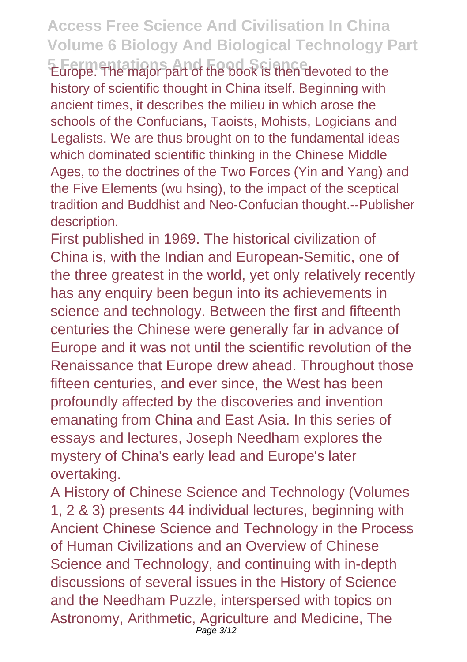**Edrope. The major part of the book is then devoted to the** history of scientific thought in China itself. Beginning with ancient times, it describes the milieu in which arose the schools of the Confucians, Taoists, Mohists, Logicians and Legalists. We are thus brought on to the fundamental ideas which dominated scientific thinking in the Chinese Middle Ages, to the doctrines of the Two Forces (Yin and Yang) and the Five Elements (wu hsing), to the impact of the sceptical tradition and Buddhist and Neo-Confucian thought.--Publisher description.

First published in 1969. The historical civilization of China is, with the Indian and European-Semitic, one of the three greatest in the world, yet only relatively recently has any enquiry been begun into its achievements in science and technology. Between the first and fifteenth centuries the Chinese were generally far in advance of Europe and it was not until the scientific revolution of the Renaissance that Europe drew ahead. Throughout those fifteen centuries, and ever since, the West has been profoundly affected by the discoveries and invention emanating from China and East Asia. In this series of essays and lectures, Joseph Needham explores the mystery of China's early lead and Europe's later overtaking.

A History of Chinese Science and Technology (Volumes 1, 2 & 3) presents 44 individual lectures, beginning with Ancient Chinese Science and Technology in the Process of Human Civilizations and an Overview of Chinese Science and Technology, and continuing with in-depth discussions of several issues in the History of Science and the Needham Puzzle, interspersed with topics on Astronomy, Arithmetic, Agriculture and Medicine, The Page 3/12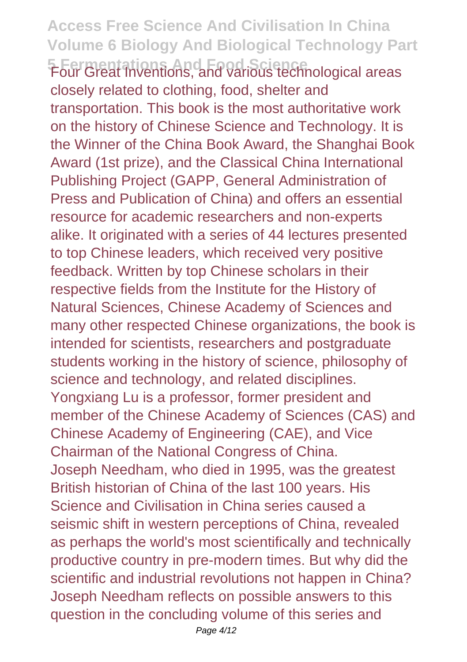#### **Access Free Science And Civilisation In China Volume 6 Biology And Biological Technology Part F** Four Great Thientions, and Fand Islands technological areas closely related to clothing, food, shelter and transportation. This book is the most authoritative work on the history of Chinese Science and Technology. It is the Winner of the China Book Award, the Shanghai Book Award (1st prize), and the Classical China International Publishing Project (GAPP, General Administration of Press and Publication of China) and offers an essential resource for academic researchers and non-experts alike. It originated with a series of 44 lectures presented to top Chinese leaders, which received very positive feedback. Written by top Chinese scholars in their respective fields from the Institute for the History of Natural Sciences, Chinese Academy of Sciences and many other respected Chinese organizations, the book is intended for scientists, researchers and postgraduate students working in the history of science, philosophy of science and technology, and related disciplines. Yongxiang Lu is a professor, former president and member of the Chinese Academy of Sciences (CAS) and Chinese Academy of Engineering (CAE), and Vice Chairman of the National Congress of China. Joseph Needham, who died in 1995, was the greatest British historian of China of the last 100 years. His Science and Civilisation in China series caused a seismic shift in western perceptions of China, revealed as perhaps the world's most scientifically and technically

productive country in pre-modern times. But why did the scientific and industrial revolutions not happen in China? Joseph Needham reflects on possible answers to this question in the concluding volume of this series and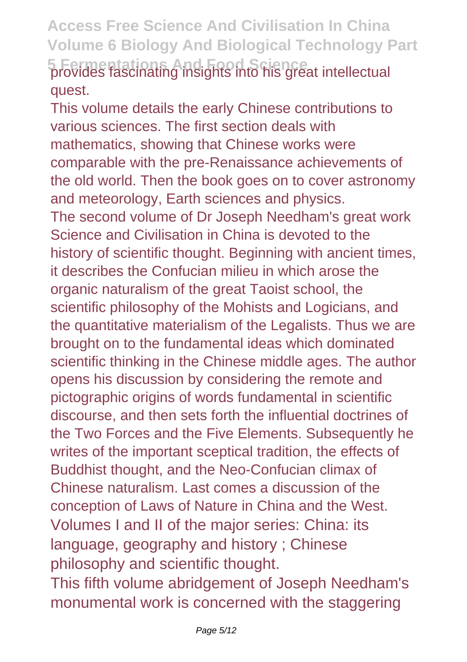### **Access Free Science And Civilisation In China Volume 6 Biology And Biological Technology Part 5 Fermentations And Food Science** provides fascinating insights into his great intellectual quest.

This volume details the early Chinese contributions to various sciences. The first section deals with mathematics, showing that Chinese works were comparable with the pre-Renaissance achievements of the old world. Then the book goes on to cover astronomy and meteorology, Earth sciences and physics. The second volume of Dr Joseph Needham's great work Science and Civilisation in China is devoted to the history of scientific thought. Beginning with ancient times, it describes the Confucian milieu in which arose the organic naturalism of the great Taoist school, the scientific philosophy of the Mohists and Logicians, and the quantitative materialism of the Legalists. Thus we are brought on to the fundamental ideas which dominated scientific thinking in the Chinese middle ages. The author opens his discussion by considering the remote and pictographic origins of words fundamental in scientific discourse, and then sets forth the influential doctrines of the Two Forces and the Five Elements. Subsequently he writes of the important sceptical tradition, the effects of Buddhist thought, and the Neo-Confucian climax of Chinese naturalism. Last comes a discussion of the conception of Laws of Nature in China and the West. Volumes I and II of the major series: China: its language, geography and history ; Chinese philosophy and scientific thought.

This fifth volume abridgement of Joseph Needham's monumental work is concerned with the staggering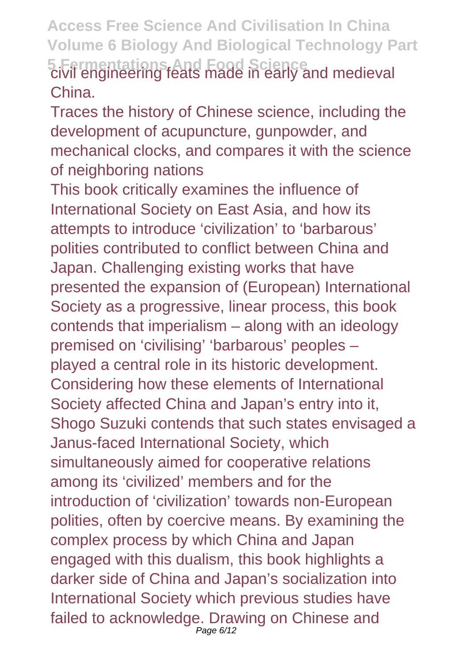**Access Free Science And Civilisation In China Volume 6 Biology And Biological Technology Part 5 Fermentations And Food Science** civil engineering feats made in early and medieval China.

Traces the history of Chinese science, including the development of acupuncture, gunpowder, and mechanical clocks, and compares it with the science of neighboring nations

This book critically examines the influence of International Society on East Asia, and how its attempts to introduce 'civilization' to 'barbarous' polities contributed to conflict between China and Japan. Challenging existing works that have presented the expansion of (European) International Society as a progressive, linear process, this book contends that imperialism – along with an ideology premised on 'civilising' 'barbarous' peoples – played a central role in its historic development. Considering how these elements of International Society affected China and Japan's entry into it, Shogo Suzuki contends that such states envisaged a Janus-faced International Society, which simultaneously aimed for cooperative relations among its 'civilized' members and for the introduction of 'civilization' towards non-European polities, often by coercive means. By examining the complex process by which China and Japan engaged with this dualism, this book highlights a darker side of China and Japan's socialization into International Society which previous studies have failed to acknowledge. Drawing on Chinese and Page 6/12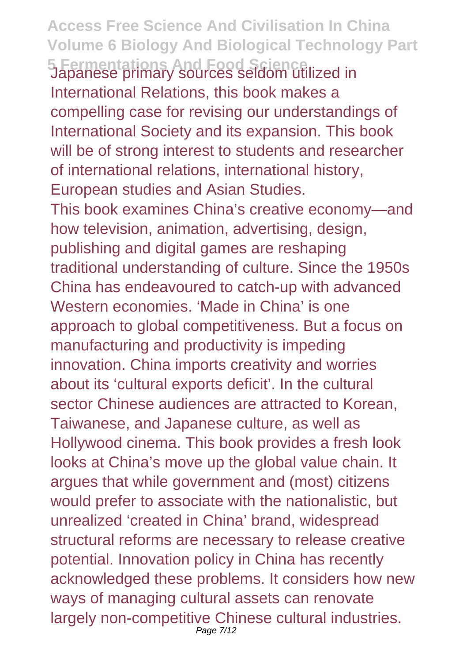**Access Free Science And Civilisation In China Volume 6 Biology And Biological Technology Part 5 Fermentations And Food Science** Japanese primary sources seldom utilized in International Relations, this book makes a compelling case for revising our understandings of International Society and its expansion. This book will be of strong interest to students and researcher of international relations, international history, European studies and Asian Studies. This book examines China's creative economy—and how television, animation, advertising, design, publishing and digital games are reshaping traditional understanding of culture. Since the 1950s China has endeavoured to catch-up with advanced Western economies. 'Made in China' is one approach to global competitiveness. But a focus on manufacturing and productivity is impeding innovation. China imports creativity and worries about its 'cultural exports deficit'. In the cultural sector Chinese audiences are attracted to Korean, Taiwanese, and Japanese culture, as well as Hollywood cinema. This book provides a fresh look looks at China's move up the global value chain. It argues that while government and (most) citizens would prefer to associate with the nationalistic, but unrealized 'created in China' brand, widespread structural reforms are necessary to release creative potential. Innovation policy in China has recently acknowledged these problems. It considers how new ways of managing cultural assets can renovate largely non-competitive Chinese cultural industries. Page 7/12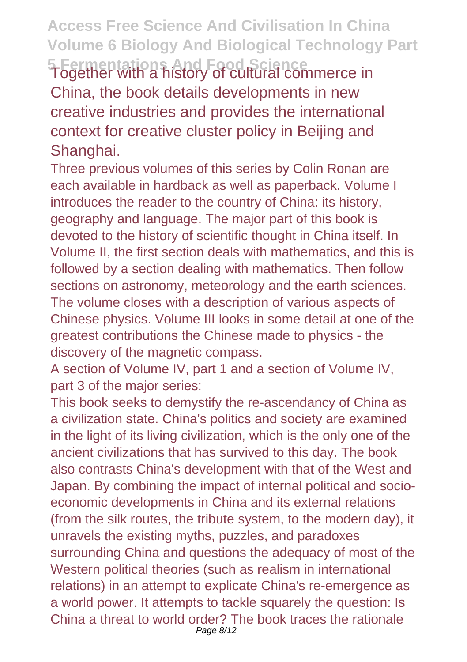**Access Free Science And Civilisation In China Volume 6 Biology And Biological Technology Part 5 Fermentations And Food Science** Together with a history of cultural commerce in China, the book details developments in new creative industries and provides the international context for creative cluster policy in Beijing and Shanghai.

Three previous volumes of this series by Colin Ronan are each available in hardback as well as paperback. Volume I introduces the reader to the country of China: its history, geography and language. The major part of this book is devoted to the history of scientific thought in China itself. In Volume II, the first section deals with mathematics, and this is followed by a section dealing with mathematics. Then follow sections on astronomy, meteorology and the earth sciences. The volume closes with a description of various aspects of Chinese physics. Volume III looks in some detail at one of the greatest contributions the Chinese made to physics - the discovery of the magnetic compass.

A section of Volume IV, part 1 and a section of Volume IV, part 3 of the major series:

This book seeks to demystify the re-ascendancy of China as a civilization state. China's politics and society are examined in the light of its living civilization, which is the only one of the ancient civilizations that has survived to this day. The book also contrasts China's development with that of the West and Japan. By combining the impact of internal political and socioeconomic developments in China and its external relations (from the silk routes, the tribute system, to the modern day), it unravels the existing myths, puzzles, and paradoxes surrounding China and questions the adequacy of most of the Western political theories (such as realism in international relations) in an attempt to explicate China's re-emergence as a world power. It attempts to tackle squarely the question: Is China a threat to world order? The book traces the rationale Page 8/12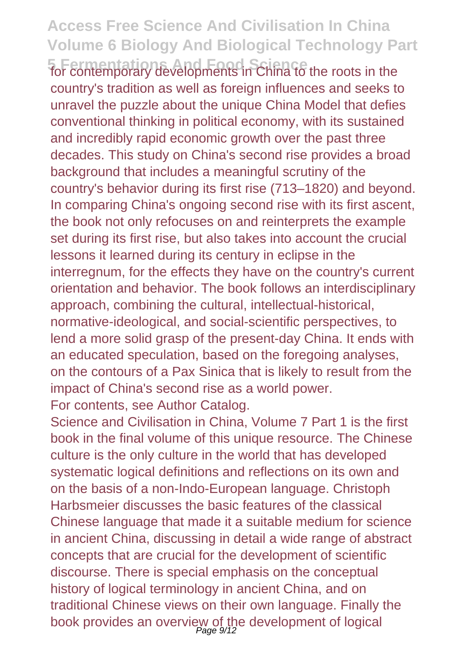**5 Fermentations And Food Science** for contemporary developments in China to the roots in the country's tradition as well as foreign influences and seeks to unravel the puzzle about the unique China Model that defies conventional thinking in political economy, with its sustained and incredibly rapid economic growth over the past three decades. This study on China's second rise provides a broad background that includes a meaningful scrutiny of the country's behavior during its first rise (713–1820) and beyond. In comparing China's ongoing second rise with its first ascent, the book not only refocuses on and reinterprets the example set during its first rise, but also takes into account the crucial lessons it learned during its century in eclipse in the interregnum, for the effects they have on the country's current orientation and behavior. The book follows an interdisciplinary approach, combining the cultural, intellectual-historical, normative-ideological, and social-scientific perspectives, to lend a more solid grasp of the present-day China. It ends with an educated speculation, based on the foregoing analyses, on the contours of a Pax Sinica that is likely to result from the impact of China's second rise as a world power.

For contents, see Author Catalog.

Science and Civilisation in China, Volume 7 Part 1 is the first book in the final volume of this unique resource. The Chinese culture is the only culture in the world that has developed systematic logical definitions and reflections on its own and on the basis of a non-Indo-European language. Christoph Harbsmeier discusses the basic features of the classical Chinese language that made it a suitable medium for science in ancient China, discussing in detail a wide range of abstract concepts that are crucial for the development of scientific discourse. There is special emphasis on the conceptual history of logical terminology in ancient China, and on traditional Chinese views on their own language. Finally the book provides an overview of the development of logical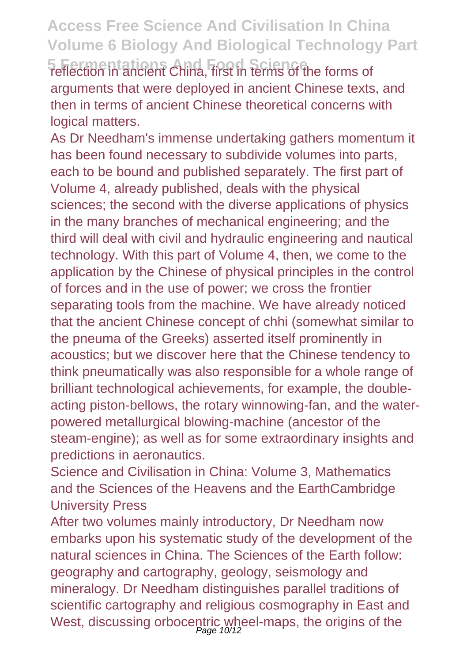### **Access Free Science And Civilisation In China Volume 6 Biology And Biological Technology Part 5 Fermentations And Food Science** reflection in ancient China, first in terms of the forms of

arguments that were deployed in ancient Chinese texts, and then in terms of ancient Chinese theoretical concerns with logical matters.

As Dr Needham's immense undertaking gathers momentum it has been found necessary to subdivide volumes into parts, each to be bound and published separately. The first part of Volume 4, already published, deals with the physical sciences; the second with the diverse applications of physics in the many branches of mechanical engineering; and the third will deal with civil and hydraulic engineering and nautical technology. With this part of Volume 4, then, we come to the application by the Chinese of physical principles in the control of forces and in the use of power; we cross the frontier separating tools from the machine. We have already noticed that the ancient Chinese concept of chhi (somewhat similar to the pneuma of the Greeks) asserted itself prominently in acoustics; but we discover here that the Chinese tendency to think pneumatically was also responsible for a whole range of brilliant technological achievements, for example, the doubleacting piston-bellows, the rotary winnowing-fan, and the waterpowered metallurgical blowing-machine (ancestor of the steam-engine); as well as for some extraordinary insights and predictions in aeronautics.

Science and Civilisation in China: Volume 3, Mathematics and the Sciences of the Heavens and the EarthCambridge University Press

After two volumes mainly introductory, Dr Needham now embarks upon his systematic study of the development of the natural sciences in China. The Sciences of the Earth follow: geography and cartography, geology, seismology and mineralogy. Dr Needham distinguishes parallel traditions of scientific cartography and religious cosmography in East and West, discussing orbocentric wheel-maps, the origins of the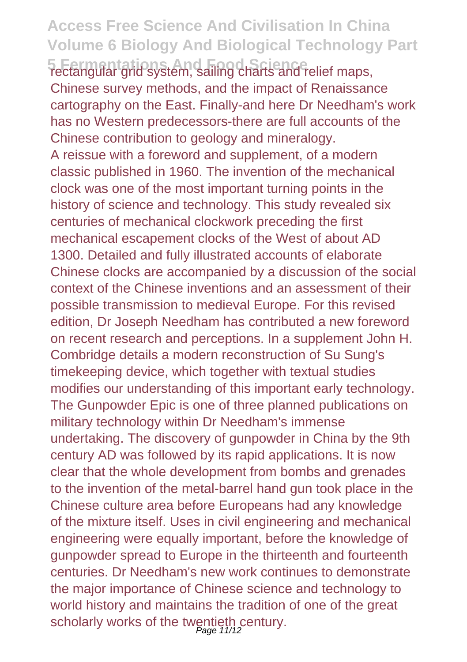**5 Fermentations And Food Science** rectangular grid system, sailing charts and relief maps, Chinese survey methods, and the impact of Renaissance cartography on the East. Finally-and here Dr Needham's work has no Western predecessors-there are full accounts of the Chinese contribution to geology and mineralogy.

A reissue with a foreword and supplement, of a modern classic published in 1960. The invention of the mechanical clock was one of the most important turning points in the history of science and technology. This study revealed six centuries of mechanical clockwork preceding the first mechanical escapement clocks of the West of about AD 1300. Detailed and fully illustrated accounts of elaborate Chinese clocks are accompanied by a discussion of the social context of the Chinese inventions and an assessment of their possible transmission to medieval Europe. For this revised edition, Dr Joseph Needham has contributed a new foreword on recent research and perceptions. In a supplement John H. Combridge details a modern reconstruction of Su Sung's timekeeping device, which together with textual studies modifies our understanding of this important early technology. The Gunpowder Epic is one of three planned publications on military technology within Dr Needham's immense undertaking. The discovery of gunpowder in China by the 9th century AD was followed by its rapid applications. It is now clear that the whole development from bombs and grenades to the invention of the metal-barrel hand gun took place in the Chinese culture area before Europeans had any knowledge of the mixture itself. Uses in civil engineering and mechanical engineering were equally important, before the knowledge of gunpowder spread to Europe in the thirteenth and fourteenth centuries. Dr Needham's new work continues to demonstrate the major importance of Chinese science and technology to world history and maintains the tradition of one of the great scholarly works of the twentieth century.